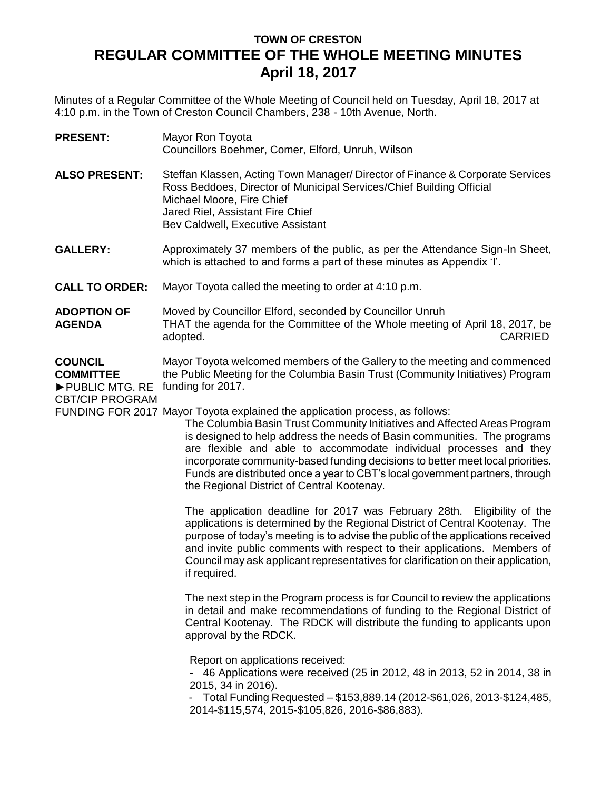## **TOWN OF CRESTON REGULAR COMMITTEE OF THE WHOLE MEETING MINUTES April 18, 2017**

Minutes of a Regular Committee of the Whole Meeting of Council held on Tuesday, April 18, 2017 at 4:10 p.m. in the Town of Creston Council Chambers, 238 - 10th Avenue, North.

| <b>PRESENT:</b> | Mayor Ron Toyota                                  |
|-----------------|---------------------------------------------------|
|                 | Councillors Boehmer, Comer, Elford, Unruh, Wilson |

- **ALSO PRESENT:** Steffan Klassen, Acting Town Manager/ Director of Finance & Corporate Services Ross Beddoes, Director of Municipal Services/Chief Building Official Michael Moore, Fire Chief Jared Riel, Assistant Fire Chief Bev Caldwell, Executive Assistant
- **GALLERY:** Approximately 37 members of the public, as per the Attendance Sign-In Sheet, which is attached to and forms a part of these minutes as Appendix 'I'.
- **CALL TO ORDER:** Mayor Toyota called the meeting to order at 4:10 p.m.
- **ADOPTION OF AGENDA** Moved by Councillor Elford, seconded by Councillor Unruh THAT the agenda for the Committee of the Whole meeting of April 18, 2017, be adopted. CARRIED
- **COUNCIL COMMITTEE** ►PUBLIC MTG. RE funding for 2017. Mayor Toyota welcomed members of the Gallery to the meeting and commenced the Public Meeting for the Columbia Basin Trust (Community Initiatives) Program

CBT/CIP PROGRAM

FUNDING FOR 2017 Mayor Toyota explained the application process, as follows:

The Columbia Basin Trust Community Initiatives and Affected Areas Program is designed to help address the needs of Basin communities. The programs are flexible and able to accommodate individual processes and they incorporate community-based funding decisions to better meet local priorities. Funds are distributed once a year to CBT's local government partners, through the Regional District of Central Kootenay.

The application deadline for 2017 was February 28th. Eligibility of the applications is determined by the Regional District of Central Kootenay. The purpose of today's meeting is to advise the public of the applications received and invite public comments with respect to their applications. Members of Council may ask applicant representatives for clarification on their application, if required.

The next step in the Program process is for Council to review the applications in detail and make recommendations of funding to the Regional District of Central Kootenay. The RDCK will distribute the funding to applicants upon approval by the RDCK.

Report on applications received:

- 46 Applications were received (25 in 2012, 48 in 2013, 52 in 2014, 38 in 2015, 34 in 2016).

- Total Funding Requested – \$153,889.14 (2012-\$61,026, 2013-\$124,485, 2014-\$115,574, 2015-\$105,826, 2016-\$86,883).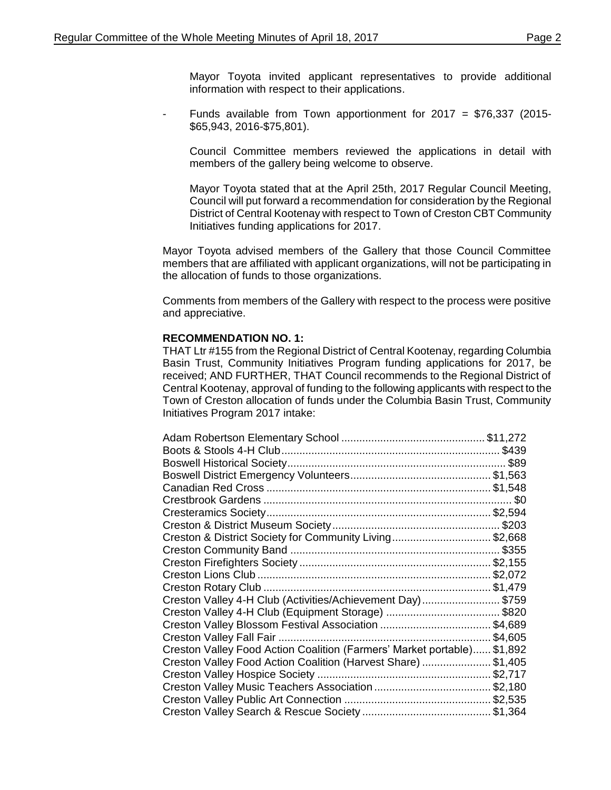Mayor Toyota invited applicant representatives to provide additional information with respect to their applications.

Funds available from Town apportionment for  $2017 = $76,337$  (2015-\$65,943, 2016-\$75,801).

Council Committee members reviewed the applications in detail with members of the gallery being welcome to observe.

Mayor Toyota stated that at the April 25th, 2017 Regular Council Meeting, Council will put forward a recommendation for consideration by the Regional District of Central Kootenay with respect to Town of Creston CBT Community Initiatives funding applications for 2017.

Mayor Toyota advised members of the Gallery that those Council Committee members that are affiliated with applicant organizations, will not be participating in the allocation of funds to those organizations.

Comments from members of the Gallery with respect to the process were positive and appreciative.

## **RECOMMENDATION NO. 1:**

THAT Ltr #155 from the Regional District of Central Kootenay, regarding Columbia Basin Trust, Community Initiatives Program funding applications for 2017, be received; AND FURTHER, THAT Council recommends to the Regional District of Central Kootenay, approval of funding to the following applicants with respect to the Town of Creston allocation of funds under the Columbia Basin Trust, Community Initiatives Program 2017 intake:

| Creston & District Society for Community Living\$2,668                  |         |
|-------------------------------------------------------------------------|---------|
|                                                                         |         |
|                                                                         |         |
|                                                                         |         |
|                                                                         |         |
| Creston Valley 4-H Club (Activities/Achievement Day)\$759               |         |
|                                                                         |         |
|                                                                         |         |
|                                                                         | \$4,605 |
| Creston Valley Food Action Coalition (Farmers' Market portable) \$1,892 |         |
| Creston Valley Food Action Coalition (Harvest Share) \$1,405            |         |
|                                                                         |         |
|                                                                         |         |
|                                                                         |         |
|                                                                         |         |